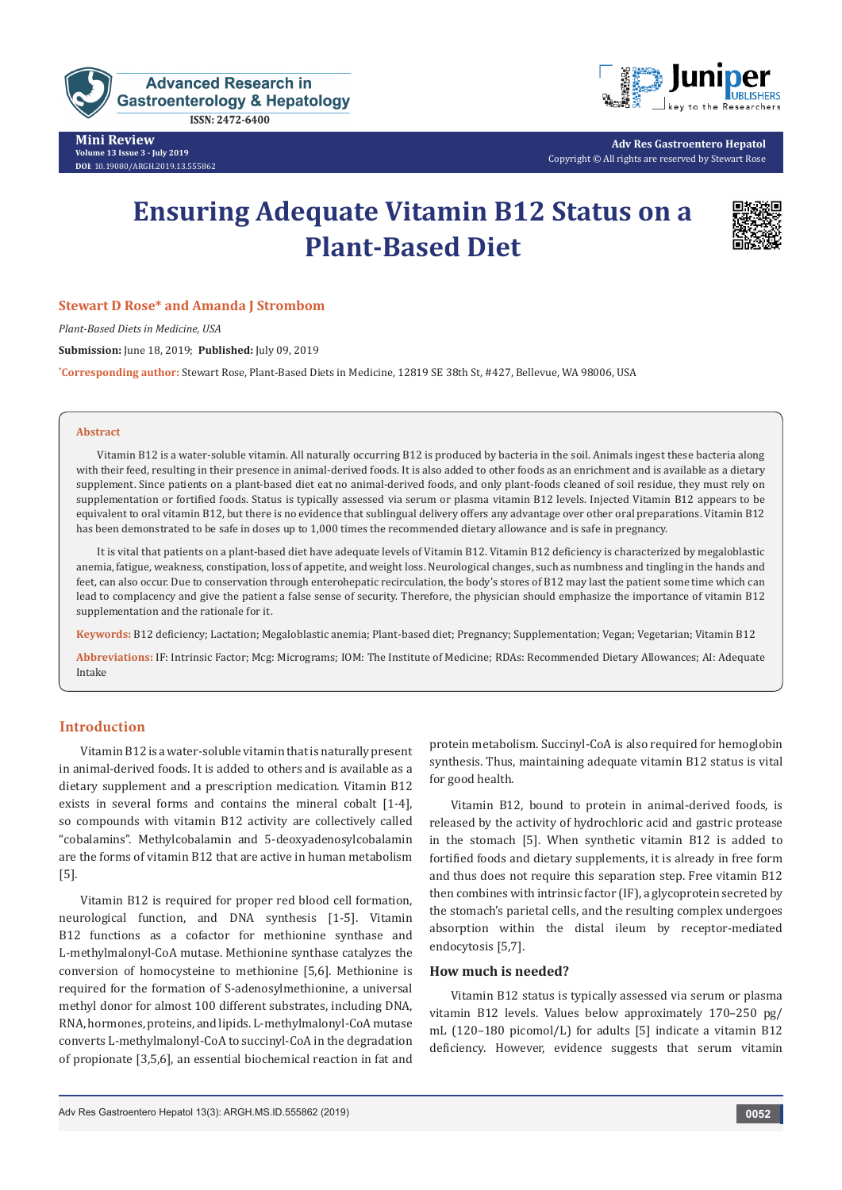

**ISSN: 2472-6400** 

**Mini Review Volume 13 Issue 3 - July 2019 DOI**[: 10.19080/ARGH.2019.13.555862](http://dx.doi.org/10.19080/ARGH.2019.13.555862)



**Adv Res Gastroentero Hepatol** Copyright © All rights are reserved by Stewart Rose

# **Ensuring Adequate Vitamin B12 Status on a Plant-Based Diet**



## **Stewart D Rose\* and Amanda J Strombom**

*Plant-Based Diets in Medicine, USA*

**Submission:** June 18, 2019; **Published:** July 09, 2019

**\* Corresponding author:** Stewart Rose, Plant-Based Diets in Medicine, 12819 SE 38th St, #427, Bellevue, WA 98006, USA

#### **Abstract**

Vitamin B12 is a water-soluble vitamin. All naturally occurring B12 is produced by bacteria in the soil. Animals ingest these bacteria along with their feed, resulting in their presence in animal-derived foods. It is also added to other foods as an enrichment and is available as a dietary supplement. Since patients on a plant-based diet eat no animal-derived foods, and only plant-foods cleaned of soil residue, they must rely on supplementation or fortified foods. Status is typically assessed via serum or plasma vitamin B12 levels. Injected Vitamin B12 appears to be equivalent to oral vitamin B12, but there is no evidence that sublingual delivery offers any advantage over other oral preparations. Vitamin B12 has been demonstrated to be safe in doses up to 1,000 times the recommended dietary allowance and is safe in pregnancy.

It is vital that patients on a plant-based diet have adequate levels of Vitamin B12. Vitamin B12 deficiency is characterized by megaloblastic anemia, fatigue, weakness, constipation, loss of appetite, and weight loss. Neurological changes, such as numbness and tingling in the hands and feet, can also occur. Due to conservation through enterohepatic recirculation, the body's stores of B12 may last the patient some time which can lead to complacency and give the patient a false sense of security. Therefore, the physician should emphasize the importance of vitamin B12 supplementation and the rationale for it.

**Keywords:** B12 deficiency; Lactation; Megaloblastic anemia; Plant-based diet; Pregnancy; Supplementation; Vegan; Vegetarian; Vitamin B12

**Abbreviations:** IF: Intrinsic Factor; Mcg: Micrograms; IOM: The Institute of Medicine; RDAs: Recommended Dietary Allowances; AI: Adequate Intake

# **Introduction**

Vitamin B12 is a water-soluble vitamin that is naturally present in animal-derived foods. It is added to others and is available as a dietary supplement and a prescription medication. Vitamin B12 exists in several forms and contains the mineral cobalt [1-4], so compounds with vitamin B12 activity are collectively called "cobalamins". Methylcobalamin and 5-deoxyadenosylcobalamin are the forms of vitamin B12 that are active in human metabolism [5].

Vitamin B12 is required for proper red blood cell formation, neurological function, and DNA synthesis [1-5]. Vitamin B12 functions as a cofactor for methionine synthase and L-methylmalonyl-CoA mutase. Methionine synthase catalyzes the conversion of homocysteine to methionine [5,6]. Methionine is required for the formation of S-adenosylmethionine, a universal methyl donor for almost 100 different substrates, including DNA, RNA, hormones, proteins, and lipids. L-methylmalonyl-CoA mutase converts L-methylmalonyl-CoA to succinyl-CoA in the degradation of propionate [3,5,6], an essential biochemical reaction in fat and

protein metabolism. Succinyl-CoA is also required for hemoglobin synthesis. Thus, maintaining adequate vitamin B12 status is vital for good health.

Vitamin B12, bound to protein in animal-derived foods, is released by the activity of hydrochloric acid and gastric protease in the stomach [5]. When synthetic vitamin B12 is added to fortified foods and dietary supplements, it is already in free form and thus does not require this separation step. Free vitamin B12 then combines with intrinsic factor (IF), a glycoprotein secreted by the stomach's parietal cells, and the resulting complex undergoes absorption within the distal ileum by receptor-mediated endocytosis [5,7].

#### **How much is needed?**

Vitamin B12 status is typically assessed via serum or plasma vitamin B12 levels. Values below approximately 170–250 pg/ mL (120–180 picomol/L) for adults [5] indicate a vitamin B12 deficiency. However, evidence suggests that serum vitamin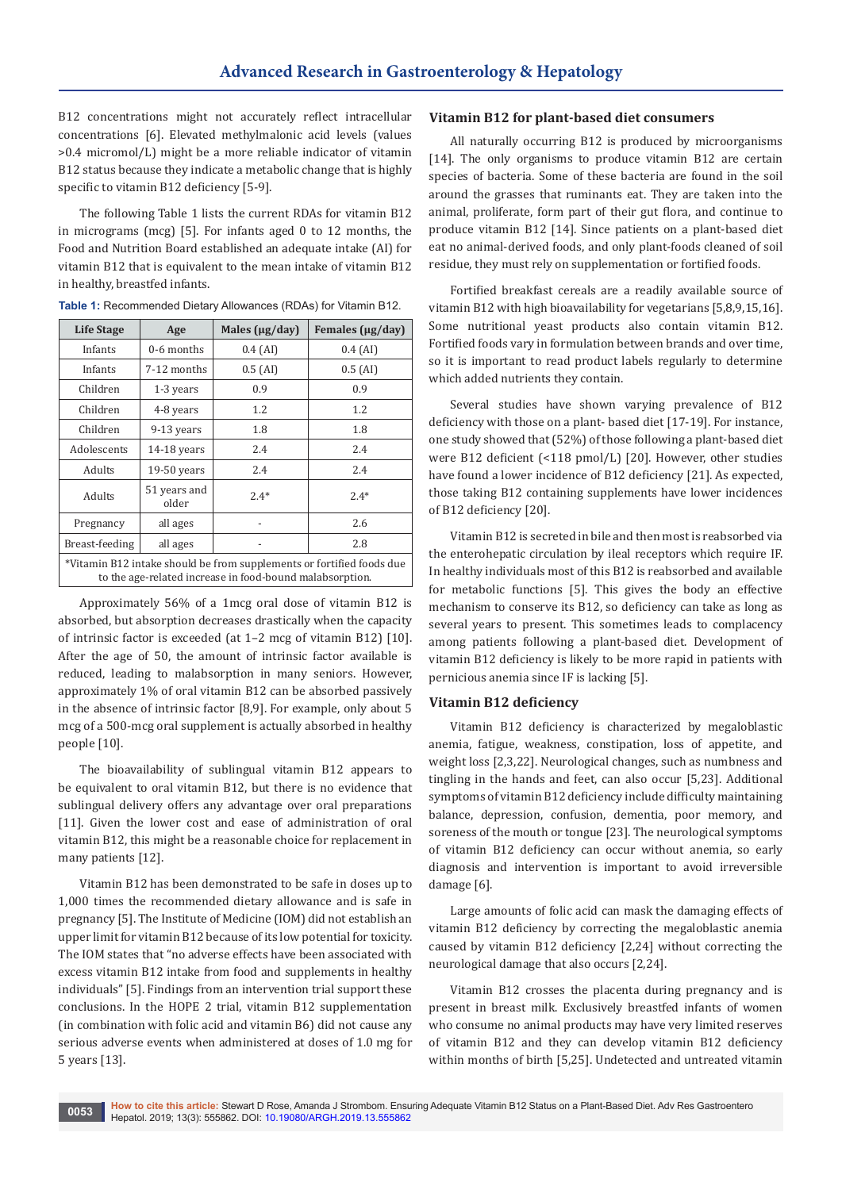B12 concentrations might not accurately reflect intracellular concentrations [6]. Elevated methylmalonic acid levels (values >0.4 micromol/L) might be a more reliable indicator of vitamin B12 status because they indicate a metabolic change that is highly specific to vitamin B12 deficiency [5-9].

The following Table 1 lists the current RDAs for vitamin B12 in micrograms (mcg) [5]. For infants aged 0 to 12 months, the Food and Nutrition Board established an adequate intake (AI) for vitamin B12 that is equivalent to the mean intake of vitamin B12 in healthy, breastfed infants.

| Life Stage                                                                                                                        | Age                   | Males $(\mu g / day)$ | Females ( $\mu$ g/day) |
|-----------------------------------------------------------------------------------------------------------------------------------|-----------------------|-----------------------|------------------------|
| Infants                                                                                                                           | 0-6 months            | $0.4$ (AI)            | $0.4$ (AI)             |
| Infants                                                                                                                           | 7-12 months           | $0.5$ (AI)            | $0.5$ (AI)             |
| Children                                                                                                                          | 1-3 years             | 0.9                   | 0.9                    |
| Children                                                                                                                          | 4-8 years             | 1.2                   | 1.2                    |
| Children                                                                                                                          | 9-13 years            | 1.8                   | 1.8                    |
| Adolescents                                                                                                                       | $14-18$ years         | 2.4                   | 2.4                    |
| Adults                                                                                                                            | $19-50$ years         | 2.4                   | 2.4                    |
| Adults                                                                                                                            | 51 years and<br>older | $2.4*$                | $2.4*$                 |
| Pregnancy                                                                                                                         | all ages              |                       | 2.6                    |
| Breast-feeding                                                                                                                    | all ages              |                       | 2.8                    |
| *Vitamin B12 intake should be from supplements or fortified foods due<br>to the age-related increase in food-bound malabsorption. |                       |                       |                        |

**Table 1:** Recommended Dietary Allowances (RDAs) for Vitamin B12.

Approximately 56% of a 1mcg oral dose of vitamin B12 is absorbed, but absorption decreases drastically when the capacity of intrinsic factor is exceeded (at 1–2 mcg of vitamin B12) [10]. After the age of 50, the amount of intrinsic factor available is reduced, leading to malabsorption in many seniors. However, approximately 1% of oral vitamin B12 can be absorbed passively in the absence of intrinsic factor [8,9]. For example, only about 5 mcg of a 500-mcg oral supplement is actually absorbed in healthy people [10].

The bioavailability of sublingual vitamin B12 appears to be equivalent to oral vitamin B12, but there is no evidence that sublingual delivery offers any advantage over oral preparations [11]. Given the lower cost and ease of administration of oral vitamin B12, this might be a reasonable choice for replacement in many patients [12].

Vitamin B12 has been demonstrated to be safe in doses up to 1,000 times the recommended dietary allowance and is safe in pregnancy [5]. The Institute of Medicine (IOM) did not establish an upper limit for vitamin B12 because of its low potential for toxicity. The IOM states that "no adverse effects have been associated with excess vitamin B12 intake from food and supplements in healthy individuals" [5]. Findings from an intervention trial support these conclusions. In the HOPE 2 trial, vitamin B12 supplementation (in combination with folic acid and vitamin B6) did not cause any serious adverse events when administered at doses of 1.0 mg for 5 years [13].

#### **Vitamin B12 for plant-based diet consumers**

All naturally occurring B12 is produced by microorganisms [14]. The only organisms to produce vitamin B12 are certain species of bacteria. Some of these bacteria are found in the soil around the grasses that ruminants eat. They are taken into the animal, proliferate, form part of their gut flora, and continue to produce vitamin B12 [14]. Since patients on a plant-based diet eat no animal-derived foods, and only plant-foods cleaned of soil residue, they must rely on supplementation or fortified foods.

Fortified breakfast cereals are a readily available source of vitamin B12 with high bioavailability for vegetarians [5,8,9,15,16]. Some nutritional yeast products also contain vitamin B12. Fortified foods vary in formulation between brands and over time, so it is important to read product labels regularly to determine which added nutrients they contain.

Several studies have shown varying prevalence of B12 deficiency with those on a plant- based diet [17-19]. For instance, one study showed that (52%) of those following a plant-based diet were B12 deficient (<118 pmol/L) [20]. However, other studies have found a lower incidence of B12 deficiency [21]. As expected, those taking B12 containing supplements have lower incidences of B12 deficiency [20].

Vitamin B12 is secreted in bile and then most is reabsorbed via the enterohepatic circulation by ileal receptors which require IF. In healthy individuals most of this B12 is reabsorbed and available for metabolic functions [5]. This gives the body an effective mechanism to conserve its B12, so deficiency can take as long as several years to present. This sometimes leads to complacency among patients following a plant-based diet. Development of vitamin B12 deficiency is likely to be more rapid in patients with pernicious anemia since IF is lacking [5].

### **Vitamin B12 deficiency**

Vitamin B12 deficiency is characterized by megaloblastic anemia, fatigue, weakness, constipation, loss of appetite, and weight loss [2,3,22]. Neurological changes, such as numbness and tingling in the hands and feet, can also occur [5,23]. Additional symptoms of vitamin B12 deficiency include difficulty maintaining balance, depression, confusion, dementia, poor memory, and soreness of the mouth or tongue [23]. The neurological symptoms of vitamin B12 deficiency can occur without anemia, so early diagnosis and intervention is important to avoid irreversible damage [6].

Large amounts of folic acid can mask the damaging effects of vitamin B12 deficiency by correcting the megaloblastic anemia caused by vitamin B12 deficiency [2,24] without correcting the neurological damage that also occurs [2,24].

Vitamin B12 crosses the placenta during pregnancy and is present in breast milk. Exclusively breastfed infants of women who consume no animal products may have very limited reserves of vitamin B12 and they can develop vitamin B12 deficiency within months of birth [5,25]. Undetected and untreated vitamin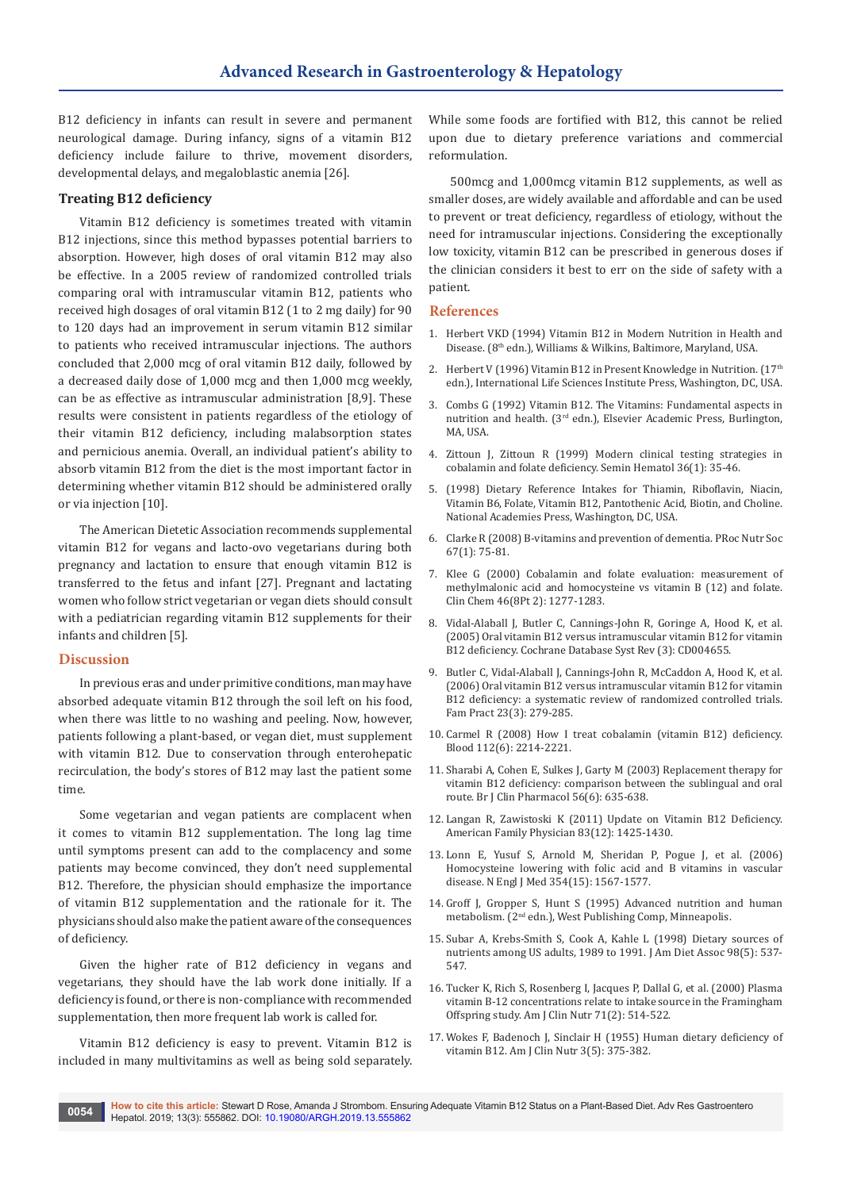B12 deficiency in infants can result in severe and permanent neurological damage. During infancy, signs of a vitamin B12 deficiency include failure to thrive, movement disorders, developmental delays, and megaloblastic anemia [26].

## **Treating B12 deficiency**

Vitamin B12 deficiency is sometimes treated with vitamin B12 injections, since this method bypasses potential barriers to absorption. However, high doses of oral vitamin B12 may also be effective. In a 2005 review of randomized controlled trials comparing oral with intramuscular vitamin B12, patients who received high dosages of oral vitamin B12 (1 to 2 mg daily) for 90 to 120 days had an improvement in serum vitamin B12 similar to patients who received intramuscular injections. The authors concluded that 2,000 mcg of oral vitamin B12 daily, followed by a decreased daily dose of 1,000 mcg and then 1,000 mcg weekly, can be as effective as intramuscular administration [8,9]. These results were consistent in patients regardless of the etiology of their vitamin B12 deficiency, including malabsorption states and pernicious anemia. Overall, an individual patient's ability to absorb vitamin B12 from the diet is the most important factor in determining whether vitamin B12 should be administered orally or via injection [10].

The American Dietetic Association recommends supplemental vitamin B12 for vegans and lacto-ovo vegetarians during both pregnancy and lactation to ensure that enough vitamin B12 is transferred to the fetus and infant [27]. Pregnant and lactating women who follow strict vegetarian or vegan diets should consult with a pediatrician regarding vitamin B12 supplements for their infants and children [5].

### **Discussion**

In previous eras and under primitive conditions, man may have absorbed adequate vitamin B12 through the soil left on his food, when there was little to no washing and peeling. Now, however, patients following a plant-based, or vegan diet, must supplement with vitamin B12. Due to conservation through enterohepatic recirculation, the body's stores of B12 may last the patient some time.

Some vegetarian and vegan patients are complacent when it comes to vitamin B12 supplementation. The long lag time until symptoms present can add to the complacency and some patients may become convinced, they don't need supplemental B12. Therefore, the physician should emphasize the importance of vitamin B12 supplementation and the rationale for it. The physicians should also make the patient aware of the consequences of deficiency.

Given the higher rate of B12 deficiency in vegans and vegetarians, they should have the lab work done initially. If a deficiency is found, or there is non-compliance with recommended supplementation, then more frequent lab work is called for.

Vitamin B12 deficiency is easy to prevent. Vitamin B12 is included in many multivitamins as well as being sold separately.

While some foods are fortified with B12, this cannot be relied upon due to dietary preference variations and commercial reformulation.

500mcg and 1,000mcg vitamin B12 supplements, as well as smaller doses, are widely available and affordable and can be used to prevent or treat deficiency, regardless of etiology, without the need for intramuscular injections. Considering the exceptionally low toxicity, vitamin B12 can be prescribed in generous doses if the clinician considers it best to err on the side of safety with a patient.

## **References**

- 1. Herbert VKD (1994) Vitamin B12 in Modern Nutrition in Health and Disease. (8th edn.), Williams & Wilkins, Baltimore, Maryland, USA.
- 2. Herbert V (1996) Vitamin B12 in Present Knowledge in Nutrition. (17<sup>th</sup> edn.), International Life Sciences Institute Press, Washington, DC, USA.
- 3. Combs G (1992) Vitamin B12. The Vitamins: Fundamental aspects in nutrition and health. (3<sup>rd</sup> edn.), Elsevier Academic Press, Burlington, MA, USA.
- 4. [Zittoun J, Zittoun R \(1999\) Modern clinical testing strategies in](https://www.ncbi.nlm.nih.gov/pubmed/9930567)  [cobalamin and folate deficiency. Semin Hematol 36\(1\): 35-46.](https://www.ncbi.nlm.nih.gov/pubmed/9930567)
- 5. (1998) Dietary Reference Intakes for Thiamin, Riboflavin, Niacin, Vitamin B6, Folate, Vitamin B12, Pantothenic Acid, Biotin, and Choline. National Academies Press, Washington, DC, USA.
- 6. [Clarke R \(2008\) B-vitamins and prevention of dementia. PRoc Nutr Soc](https://www.ncbi.nlm.nih.gov/pubmed/18234134)  [67\(1\): 75-81.](https://www.ncbi.nlm.nih.gov/pubmed/18234134)
- 7. [Klee G \(2000\) Cobalamin and folate evaluation: measurement of](https://www.ncbi.nlm.nih.gov/pubmed/10926922)  [methylmalonic acid and homocysteine vs vitamin B \(12\) and folate.](https://www.ncbi.nlm.nih.gov/pubmed/10926922)  [Clin Chem 46\(8Pt 2\): 1277-1283.](https://www.ncbi.nlm.nih.gov/pubmed/10926922)
- 8. [Vidal-Alaball J, Butler C, Cannings-John R, Goringe A, Hood K, et al.](https://www.ncbi.nlm.nih.gov/pubmed/16034940)  [\(2005\) Oral vitamin B12 versus intramuscular vitamin B12 for vitamin](https://www.ncbi.nlm.nih.gov/pubmed/16034940)  [B12 deficiency. Cochrane Database Syst Rev \(3\): CD004655.](https://www.ncbi.nlm.nih.gov/pubmed/16034940)
- 9. [Butler C, Vidal-Alaball J, Cannings-John R, McCaddon A, Hood K, et al.](https://www.ncbi.nlm.nih.gov/pubmed/16585128)  [\(2006\) Oral vitamin B12 versus intramuscular vitamin B12 for vitamin](https://www.ncbi.nlm.nih.gov/pubmed/16585128)  [B12 deficiency: a systematic review of randomized controlled trials.](https://www.ncbi.nlm.nih.gov/pubmed/16585128)  [Fam Pract 23\(3\): 279-285.](https://www.ncbi.nlm.nih.gov/pubmed/16585128)
- 10. [Carmel R \(2008\) How I treat cobalamin \(vitamin B12\) deficiency.](https://www.ncbi.nlm.nih.gov/pubmed/18606874/)  [Blood 112\(6\): 2214-2221.](https://www.ncbi.nlm.nih.gov/pubmed/18606874/)
- 11. [Sharabi A, Cohen E, Sulkes J, Garty M \(2003\) Replacement therapy for](https://www.ncbi.nlm.nih.gov/pmc/articles/PMC1884303/)  [vitamin B12 deficiency: comparison between the sublingual and oral](https://www.ncbi.nlm.nih.gov/pmc/articles/PMC1884303/)  [route. Br J Clin Pharmacol 56\(6\): 635-638.](https://www.ncbi.nlm.nih.gov/pmc/articles/PMC1884303/)
- 12. [Langan R, Zawistoski K \(2011\) Update on Vitamin B12 Deficiency.](https://www.ncbi.nlm.nih.gov/pubmed/21671542)  [American Family Physician 83\(12\): 1425-1430.](https://www.ncbi.nlm.nih.gov/pubmed/21671542)
- 13. [Lonn E, Yusuf S, Arnold M, Sheridan P, Pogue J, et al. \(2006\)](https://www.ncbi.nlm.nih.gov/pubmed/16531613)  [Homocysteine lowering with folic acid and B vitamins in vascular](https://www.ncbi.nlm.nih.gov/pubmed/16531613)  [disease. N Engl J Med 354\(15\): 1567-1577.](https://www.ncbi.nlm.nih.gov/pubmed/16531613)
- 14. Groff J, Gropper S, Hunt S (1995) Advanced nutrition and human metabolism. (2nd edn.), West Publishing Comp, Minneapolis.
- 15. [Subar A, Krebs-Smith S, Cook A, Kahle L \(1998\) Dietary sources of](https://www.ncbi.nlm.nih.gov/pubmed/9597026)  [nutrients among US adults, 1989 to 1991. J Am Diet Assoc 98\(5\): 537-](https://www.ncbi.nlm.nih.gov/pubmed/9597026) [547.](https://www.ncbi.nlm.nih.gov/pubmed/9597026)
- 16. [Tucker K, Rich S, Rosenberg I, Jacques P, Dallal G, et al. \(2000\) Plasma](https://www.ncbi.nlm.nih.gov/pubmed/10648266)  [vitamin B-12 concentrations relate to intake source in the Framingham](https://www.ncbi.nlm.nih.gov/pubmed/10648266)  [Offspring study. Am J Clin Nutr 71\(2\): 514-522.](https://www.ncbi.nlm.nih.gov/pubmed/10648266)
- 17. [Wokes F, Badenoch J, Sinclair H \(1955\) Human dietary deficiency of](https://www.ncbi.nlm.nih.gov/pubmed/13258511)  [vitamin B12. Am J Clin Nutr 3\(5\): 375-382.](https://www.ncbi.nlm.nih.gov/pubmed/13258511)